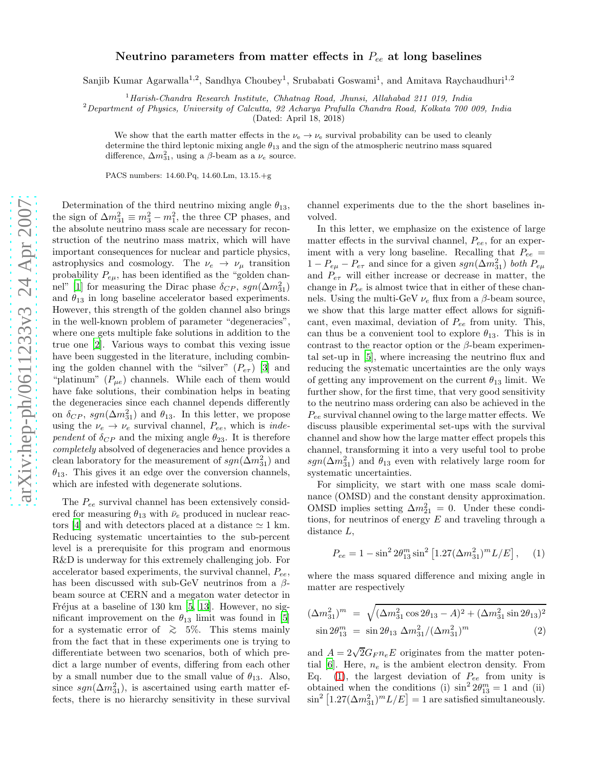## arXiv:hep-ph/0611233v3 24 Apr 2007 [arXiv:hep-ph/0611233v3 24 Apr 2007](http://arxiv.org/abs/hep-ph/0611233v3)

## Neutrino parameters from matter effects in  $P_{ee}$  at long baselines

Sanjib Kumar Agarwalla<sup>1,2</sup>, Sandhya Choubey<sup>1</sup>, Srubabati Goswami<sup>1</sup>, and Amitava Raychaudhuri<sup>1,2</sup>

 $1$ Harish-Chandra Research Institute, Chhatnag Road, Jhunsi, Allahabad 211 019, India

 $2$ Department of Physics, University of Calcutta, 92 Acharya Prafulla Chandra Road, Kolkata 700 009, India

(Dated: April 18, 2018)

We show that the earth matter effects in the  $\nu_e \to \nu_e$  survival probability can be used to cleanly determine the third leptonic mixing angle  $\theta_{13}$  and the sign of the atmospheric neutrino mass squared difference,  $\Delta m_{31}^2$ , using a  $\beta$ -beam as a  $\nu_e$  source.

PACS numbers: 14.60.Pq, 14.60.Lm, 13.15.+g

Determination of the third neutrino mixing angle  $\theta_{13}$ , the sign of  $\Delta m_{31}^2 \equiv m_3^2 - m_1^2$ , the three CP phases, and the absolute neutrino mass scale are necessary for reconstruction of the neutrino mass matrix, which will have important consequences for nuclear and particle physics, astrophysics and cosmology. The  $\nu_e \rightarrow \nu_\mu$  transition probability  $P_{e\mu}$ , has been identified as the "golden chan-nel" [\[1](#page-3-0)] for measuring the Dirac phase  $\delta_{CP}$ ,  $sgn(\Delta m_{31}^2)$ and  $\theta_{13}$  in long baseline accelerator based experiments. However, this strength of the golden channel also brings in the well-known problem of parameter "degeneracies", where one gets multiple fake solutions in addition to the true one [\[2\]](#page-3-1). Various ways to combat this vexing issue have been suggested in the literature, including combining the golden channel with the "silver"  $(P_{e\tau})$  [\[3\]](#page-3-2) and "platinum"  $(P_{\mu e})$  channels. While each of them would have fake solutions, their combination helps in beating the degeneracies since each channel depends differently on  $\delta_{CP}$ ,  $sgn(\Delta m_{31}^2)$  and  $\theta_{13}$ . In this letter, we propose using the  $\nu_e \rightarrow \nu_e$  survival channel,  $P_{ee}$ , which is *inde*pendent of  $\delta_{CP}$  and the mixing angle  $\theta_{23}$ . It is therefore completely absolved of degeneracies and hence provides a clean laboratory for the measurement of  $sgn(\Delta m^2_{31})$  and  $\theta_{13}$ . This gives it an edge over the conversion channels, which are infested with degenerate solutions.

The Pee survival channel has been extensively considered for measuring  $\theta_{13}$  with  $\bar{\nu}_e$  produced in nuclear reac-tors [\[4\]](#page-3-3) and with detectors placed at a distance  $\simeq 1$  km. Reducing systematic uncertainties to the sub-percent level is a prerequisite for this program and enormous R&D is underway for this extremely challenging job. For accelerator based experiments, the survival channel,  $P_{ee}$ , has been discussed with sub-GeV neutrinos from a  $\beta$ beam source at CERN and a megaton water detector in Fréjus at a baseline of 130 km  $[5, 13]$  $[5, 13]$ . However, no significant improvement on the  $\theta_{13}$  limit was found in [\[5](#page-3-4)] for a systematic error of  $\geq 5\%$ . This stems mainly from the fact that in these experiments one is trying to differentiate between two scenarios, both of which predict a large number of events, differing from each other by a small number due to the small value of  $\theta_{13}$ . Also, since  $sgn(\Delta m_{31}^2)$ , is ascertained using earth matter effects, there is no hierarchy sensitivity in these survival

channel experiments due to the the short baselines involved.

In this letter, we emphasize on the existence of large matter effects in the survival channel,  $P_{ee}$ , for an experiment with a very long baseline. Recalling that  $P_{ee}$  =  $1 - P_{e\mu} - P_{e\tau}$  and since for a given  $sgn(\Delta m^2_{31})$  both  $P_{e\mu}$ and  $P_{e\tau}$  will either increase or decrease in matter, the change in  $P_{ee}$  is almost twice that in either of these channels. Using the multi-GeV  $\nu_e$  flux from a  $\beta$ -beam source, we show that this large matter effect allows for significant, even maximal, deviation of  $P_{ee}$  from unity. This, can thus be a convenient tool to explore  $\theta_{13}$ . This is in contrast to the reactor option or the  $\beta$ -beam experimental set-up in [\[5\]](#page-3-4), where increasing the neutrino flux and reducing the systematic uncertainties are the only ways of getting any improvement on the current  $\theta_{13}$  limit. We further show, for the first time, that very good sensitivity to the neutrino mass ordering can also be achieved in the  $P_{ee}$  survival channel owing to the large matter effects. We discuss plausible experimental set-ups with the survival channel and show how the large matter effect propels this channel, transforming it into a very useful tool to probe  $sgn(\Delta m_{31}^2)$  and  $\theta_{13}$  even with relatively large room for systematic uncertainties.

For simplicity, we start with one mass scale dominance (OMSD) and the constant density approximation. OMSD implies setting  $\Delta m_{21}^2 = 0$ . Under these conditions, for neutrinos of energy  $E$  and traveling through a distance L ,

<span id="page-0-0"></span>
$$
P_{ee} = 1 - \sin^2 2\theta_{13}^m \sin^2 \left[ 1.27 (\Delta m_{31}^2)^m L/E \right], \quad (1)
$$

where the mass squared difference and mixing angle in matter are respectively

$$
(\Delta m_{31}^2)^m = \sqrt{(\Delta m_{31}^2 \cos 2\theta_{13} - A)^2 + (\Delta m_{31}^2 \sin 2\theta_{13})^2}
$$
  
 
$$
\sin 2\theta_{13}^m = \sin 2\theta_{13} \Delta m_{31}^2 / (\Delta m_{31}^2)^m
$$
 (2)

and  $A = 2\sqrt{2}G_F n_e E$  originates from the matter poten-tial [\[6\]](#page-3-6). Here,  $n_e$  is the ambient electron density. From Eq. [\(1\)](#page-0-0), the largest deviation of  $P_{ee}$  from unity is obtained when the conditions (i)  $\sin^2 2\theta_{13}^m = 1$  and (ii)  $\sin^2[1.27(\Delta m_{31}^2)^m L/E] = 1$  are satisfied simultaneously.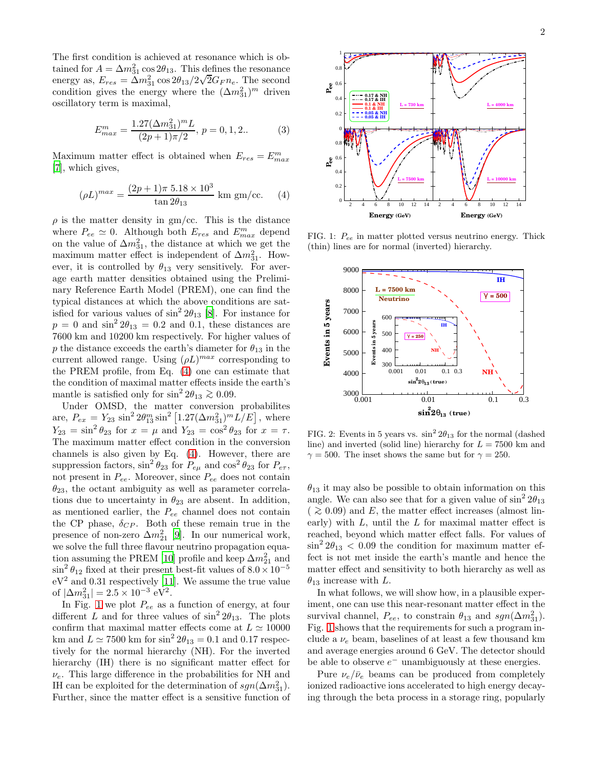The first condition is achieved at resonance which is obtained for  $A = \Delta m_{31}^2 \cos 2\theta_{13}$ . This defines the resonance energy as,  $E_{res} = \Delta m_{31}^2 \cos 2\theta_{13}/2\sqrt{2}G_F n_e$ . The second condition gives the energy where the  $(\Delta m_{31}^2)^m$  driven oscillatory term is maximal,

$$
E_{max}^m = \frac{1.27(\Delta m_{31}^2)^m L}{(2p+1)\pi/2}, \, p = 0, 1, 2. \tag{3}
$$

Maximum matter effect is obtained when  $E_{res} = E_{max}^m$ [\[7\]](#page-3-7), which gives,

<span id="page-1-0"></span>
$$
(\rho L)^{max} = \frac{(2p+1)\pi \ 5.18 \times 10^3}{\tan 2\theta_{13}} \text{ km gm/cc.} \quad (4)
$$

 $\rho$  is the matter density in gm/cc. This is the distance where  $P_{ee} \simeq 0$ . Although both  $E_{res}$  and  $E_{max}^{m}$  depend on the value of  $\Delta m_{31}^2$ , the distance at which we get the maximum matter effect is independent of  $\Delta m_{31}^2$ . However, it is controlled by  $\theta_{13}$  very sensitively. For average earth matter densities obtained using the Preliminary Reference Earth Model (PREM), one can find the typical distances at which the above conditions are satisfied for various values of  $\sin^2 2\theta_{13}$  [\[8](#page-3-8)]. For instance for  $p = 0$  and  $\sin^2 2\theta_{13} = 0.2$  and 0.1, these distances are 7600 km and 10200 km respectively. For higher values of p the distance exceeds the earth's diameter for  $\theta_{13}$  in the current allowed range. Using  $(\rho L)^{max}$  corresponding to the PREM profile, from Eq. [\(4\)](#page-1-0) one can estimate that the condition of maximal matter effects inside the earth's mantle is satisfied only for  $\sin^2 2\theta_{13} \gtrsim 0.09$ .

Under OMSD, the matter conversion probabilites are,  $P_{ex} = Y_{23} \sin^2 2\theta_{13}^m \sin^2 [1.27(\Delta m_{31}^2)^m L/E]$ , where  $Y_{23} = \sin^2 \theta_{23}$  for  $x = \mu$  and  $Y_{23} = \cos^2 \theta_{23}$  for  $x = \tau$ . The maximum matter effect condition in the conversion channels is also given by Eq. [\(4\)](#page-1-0). However, there are suppression factors,  $\sin^2 \theta_{23}$  for  $P_{e\mu}$  and  $\cos^2 \theta_{23}$  for  $P_{e\tau}$ , not present in  $P_{ee}$ . Moreover, since  $P_{ee}$  does not contain  $\theta_{23}$ , the octant ambiguity as well as parameter correlations due to uncertainty in  $\theta_{23}$  are absent. In addition, as mentioned earlier, the  $P_{ee}$  channel does not contain the CP phase,  $\delta_{CP}$ . Both of these remain true in the presence of non-zero  $\Delta m_{21}^2$  [\[9](#page-3-9)]. In our numerical work, we solve the full three flavour neutrino propagation equa-tion assuming the PREM [\[10\]](#page-3-10) profile and keep  $\Delta m_{21}^2$  and  $\sin^2 \theta_{12}$  fixed at their present best-fit values of  $8.0 \times 10^{-5}$  $\rm eV^2$  and 0.31 respectively [\[11](#page-3-11)]. We assume the true value of  $|\Delta m_{31}^2| = 2.5 \times 10^{-3} \text{ eV}^2$ .

In Fig. [1](#page-1-1) we plot  $P_{ee}$  as a function of energy, at four different L and for three values of  $\sin^2 2\theta_{13}$ . The plots confirm that maximal matter effects come at  $L \approx 10000$ km and  $L \simeq 7500$  km for  $\sin^2 2\theta_{13} = 0.1$  and  $0.17$  respectively for the normal hierarchy (NH). For the inverted hierarchy (IH) there is no significant matter effect for  $\nu_e$ . This large difference in the probabilities for NH and IH can be exploited for the determination of  $sgn(\Delta m_{31}^2)$ . Further, since the matter effect is a sensitive function of



<span id="page-1-1"></span>FIG. 1:  $P_{ee}$  in matter plotted versus neutrino energy. Thick (thin) lines are for normal (inverted) hierarchy.



<span id="page-1-2"></span>FIG. 2: Events in 5 years vs.  $\sin^2 2\theta_{13}$  for the normal (dashed line) and inverted (solid line) hierarchy for  $L = 7500$  km and  $\gamma = 500$ . The inset shows the same but for  $\gamma = 250$ .

 $\theta_{13}$  it may also be possible to obtain information on this angle. We can also see that for a given value of  $\sin^2 2\theta_{13}$  $($  ≥ 0.09) and E, the matter effect increases (almost linearly) with  $L$ , until the  $L$  for maximal matter effect is reached, beyond which matter effect falls. For values of  $\sin^2 2\theta_{13} < 0.09$  the condition for maximum matter effect is not met inside the earth's mantle and hence the matter effect and sensitivity to both hierarchy as well as  $\theta_{13}$  increase with L.

In what follows, we will show how, in a plausible experiment, one can use this near-resonant matter effect in the survival channel,  $P_{ee}$ , to constrain  $\theta_{13}$  and  $sgn(\Delta m_{31}^2)$ . Fig. [1](#page-1-1) shows that the requirements for such a program include a  $\nu_e$  beam, baselines of at least a few thousand km and average energies around 6 GeV. The detector should be able to observe  $e^-$  unambiguously at these energies.

Pure  $\nu_e/\bar{\nu}_e$  beams can be produced from completely ionized radioactive ions accelerated to high energy decaying through the beta process in a storage ring, popularly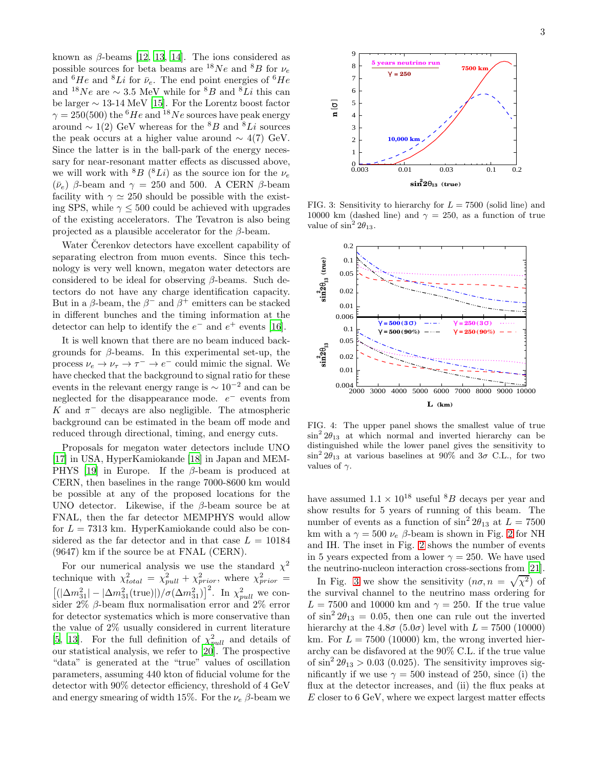known as  $\beta$ -beams [\[12,](#page-3-12) [13,](#page-3-5) [14\]](#page-3-13). The ions considered as possible sources for beta beams are <sup>18</sup>Ne and <sup>8</sup>B for  $\nu_e$ and  ${}^{6}He$  and  ${}^{8}Li$  for  $\bar{\nu}_e$ . The end point energies of  ${}^{6}He$ and  $18Ne$  are  $\sim 3.5$  MeV while for  $8B$  and  $8Li$  this can be larger ∼ 13-14 MeV [\[15\]](#page-3-14). For the Lorentz boost factor  $\gamma = 250(500)$  the <sup>6</sup>He and <sup>18</sup>Ne sources have peak energy around  $\sim 1(2)$  GeV whereas for the <sup>8</sup>B and <sup>8</sup>Li sources the peak occurs at a higher value around  $\sim 4(7)$  GeV. Since the latter is in the ball-park of the energy necessary for near-resonant matter effects as discussed above, we will work with  ${}^{8}B$  ( ${}^{8}Li$ ) as the source ion for the  $\nu_e$  $(\bar{\nu}_e)$  β-beam and  $\gamma = 250$  and 500. A CERN β-beam facility with  $\gamma \simeq 250$  should be possible with the existing SPS, while  $\gamma \leq 500$  could be achieved with upgrades of the existing accelerators. The Tevatron is also being projected as a plausible accelerator for the  $\beta$ -beam.

Water Čerenkov detectors have excellent capability of separating electron from muon events. Since this technology is very well known, megaton water detectors are considered to be ideal for observing  $\beta$ -beams. Such detectors do not have any charge identification capacity. But in a  $\beta$ -beam, the  $\beta^-$  and  $\beta^+$  emitters can be stacked in different bunches and the timing information at the detector can help to identify the  $e^-$  and  $e^+$  events [\[16\]](#page-3-15).

It is well known that there are no beam induced backgrounds for β-beams. In this experimental set-up, the process  $\nu_e \to \nu_\tau \to \tau^- \to e^-$  could mimic the signal. We have checked that the background to signal ratio for these events in the relevant energy range is  $\sim 10^{-2}$  and can be neglected for the disappearance mode.  $e^-$  events from K and  $\pi^-$  decays are also negligible. The atmospheric background can be estimated in the beam off mode and reduced through directional, timing, and energy cuts.

Proposals for megaton water detectors include UNO [\[17\]](#page-3-16) in USA, HyperKamiokande [\[18](#page-3-17)] in Japan and MEM-PHYS [\[19](#page-3-18)] in Europe. If the  $\beta$ -beam is produced at CERN, then baselines in the range 7000-8600 km would be possible at any of the proposed locations for the UNO detector. Likewise, if the  $\beta$ -beam source be at FNAL, then the far detector MEMPHYS would allow for  $L = 7313$  km. HyperKamiokande could also be considered as the far detector and in that case  $L = 10184$ (9647) km if the source be at FNAL (CERN).

For our numerical analysis we use the standard  $\chi^2$ technique with  $\chi^2_{total} = \chi^2_{pull} + \chi^2_{prior}$ , where  $\chi^2_{prior}$  $[(|\Delta m_{31}^2| - |\Delta m_{31}^2(\text{true})|)/\sigma(\Delta m_{31}^2)]^2$ . In  $\chi^2_{pull}$  we consider 2%  $\beta$ -beam flux normalisation error and 2% error for detector systematics which is more conservative than the value of 2% usually considered in current literature [\[5,](#page-3-4) [13\]](#page-3-5). For the full definition of  $\chi^2_{pull}$  and details of our statistical analysis, we refer to [\[20\]](#page-3-19). The prospective "data" is generated at the "true" values of oscillation parameters, assuming 440 kton of fiducial volume for the detector with 90% detector efficiency, threshold of 4 GeV and energy smearing of width 15%. For the  $\nu_e$  β-beam we



<span id="page-2-0"></span>FIG. 3: Sensitivity to hierarchy for  $L = 7500$  (solid line) and 10000 km (dashed line) and  $\gamma = 250$ , as a function of true value of  $\sin^2 2\theta_{13}$ .



<span id="page-2-1"></span>FIG. 4: The upper panel shows the smallest value of true  $\sin^2 2\theta_{13}$  at which normal and inverted hierarchy can be distinguished while the lower panel gives the sensitivity to  $\sin^2 2\theta_{13}$  at various baselines at 90% and  $3\sigma$  C.L., for two values of  $\gamma$ .

have assumed  $1.1 \times 10^{18}$  useful <sup>8</sup>B decays per year and show results for 5 years of running of this beam. The number of events as a function of  $\sin^2 2\theta_{13}$  at  $L = 7500$ km with a  $\gamma = 500 \nu_e \beta$ -beam is shown in Fig. [2](#page-1-2) for NH and IH. The inset in Fig. [2](#page-1-2) shows the number of events in 5 years expected from a lower  $\gamma = 250$ . We have used the neutrino-nucleon interaction cross-sections from [\[21\]](#page-3-20).

In Fig. [3](#page-2-0) we show the sensitivity  $(n\sigma, n = \sqrt{\chi^2})$  of the survival channel to the neutrino mass ordering for  $L = 7500$  and 10000 km and  $\gamma = 250$ . If the true value of  $\sin^2 2\theta_{13} = 0.05$ , then one can rule out the inverted hierarchy at the  $4.8\sigma$  (5.0 $\sigma$ ) level with  $L = 7500$  (10000) km. For  $L = 7500$  (10000) km, the wrong inverted hierarchy can be disfavored at the 90% C.L. if the true value of  $\sin^2 2\theta_{13} > 0.03$  (0.025). The sensitivity improves significantly if we use  $\gamma = 500$  instead of 250, since (i) the flux at the detector increases, and (ii) the flux peaks at E closer to 6 GeV, where we expect largest matter effects